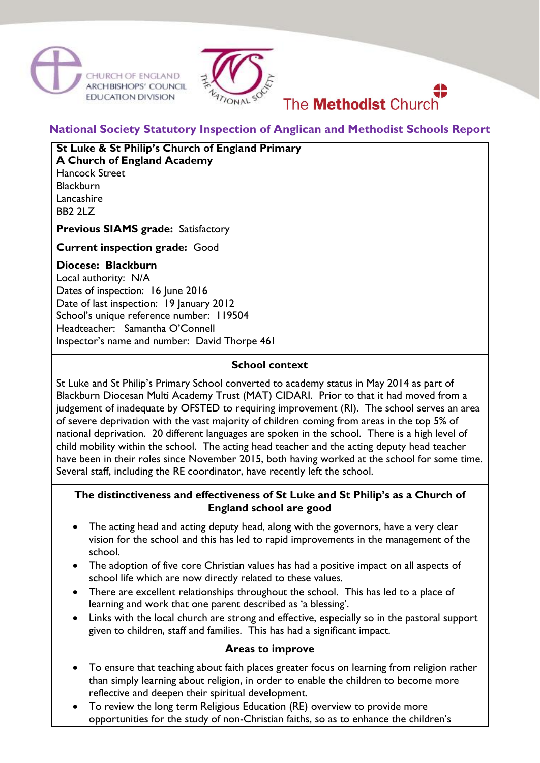



# **National Society Statutory Inspection of Anglican and Methodist Schools Report**

The **Methodist** Church

# **St Luke & St Philip's Church of England Primary**

**A Church of England Academy** Hancock Street **Blackburn** Lancashire BB2 2LZ

**Previous SIAMS grade:** Satisfactory

**Current inspection grade:** Good

## **Diocese: Blackburn**

Local authority: N/A Dates of inspection: 16 June 2016 Date of last inspection: 19 January 2012 School's unique reference number: 119504 Headteacher: Samantha O'Connell Inspector's name and number: David Thorpe 461

### **School context**

St Luke and St Philip's Primary School converted to academy status in May 2014 as part of Blackburn Diocesan Multi Academy Trust (MAT) CIDARI. Prior to that it had moved from a judgement of inadequate by OFSTED to requiring improvement (RI). The school serves an area of severe deprivation with the vast majority of children coming from areas in the top 5% of national deprivation. 20 different languages are spoken in the school. There is a high level of child mobility within the school. The acting head teacher and the acting deputy head teacher have been in their roles since November 2015, both having worked at the school for some time. Several staff, including the RE coordinator, have recently left the school.

### **The distinctiveness and effectiveness of St Luke and St Philip's as a Church of England school are good**

- The acting head and acting deputy head, along with the governors, have a very clear vision for the school and this has led to rapid improvements in the management of the school.
- The adoption of five core Christian values has had a positive impact on all aspects of school life which are now directly related to these values*.*
- There are excellent relationships throughout the school. This has led to a place of learning and work that one parent described as 'a blessing'.
- Links with the local church are strong and effective, especially so in the pastoral support given to children, staff and families. This has had a significant impact.

#### **Areas to improve**

- To ensure that teaching about faith places greater focus on learning from religion rather than simply learning about religion, in order to enable the children to become more reflective and deepen their spiritual development.
- To review the long term Religious Education (RE) overview to provide more opportunities for the study of non-Christian faiths, so as to enhance the children's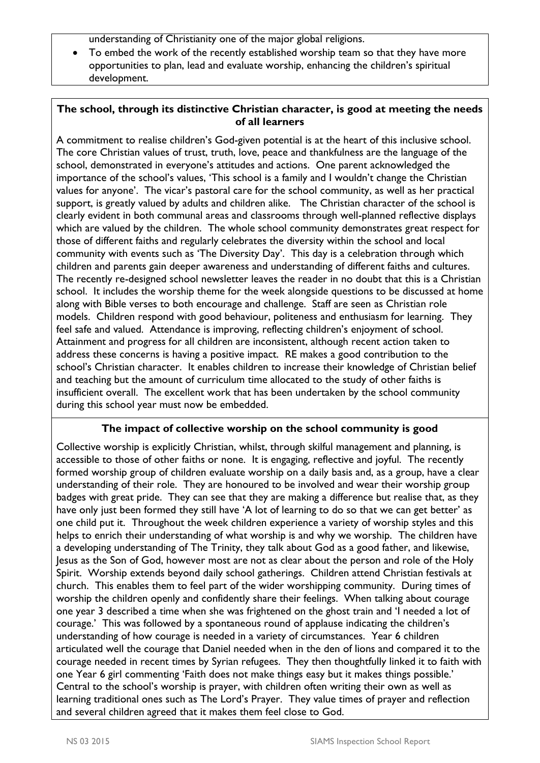understanding of Christianity one of the major global religions.

• To embed the work of the recently established worship team so that they have more opportunities to plan, lead and evaluate worship, enhancing the children's spiritual development.

## **The school, through its distinctive Christian character, is good at meeting the needs of all learners**

A commitment to realise children's God-given potential is at the heart of this inclusive school. The core Christian values of trust, truth, love, peace and thankfulness are the language of the school, demonstrated in everyone's attitudes and actions. One parent acknowledged the importance of the school's values, 'This school is a family and I wouldn't change the Christian values for anyone'. The vicar's pastoral care for the school community, as well as her practical support, is greatly valued by adults and children alike. The Christian character of the school is clearly evident in both communal areas and classrooms through well-planned reflective displays which are valued by the children. The whole school community demonstrates great respect for those of different faiths and regularly celebrates the diversity within the school and local community with events such as 'The Diversity Day'. This day is a celebration through which children and parents gain deeper awareness and understanding of different faiths and cultures. The recently re-designed school newsletter leaves the reader in no doubt that this is a Christian school. It includes the worship theme for the week alongside questions to be discussed at home along with Bible verses to both encourage and challenge. Staff are seen as Christian role models. Children respond with good behaviour, politeness and enthusiasm for learning. They feel safe and valued. Attendance is improving, reflecting children's enjoyment of school. Attainment and progress for all children are inconsistent, although recent action taken to address these concerns is having a positive impact. RE makes a good contribution to the school's Christian character. It enables children to increase their knowledge of Christian belief and teaching but the amount of curriculum time allocated to the study of other faiths is insufficient overall. The excellent work that has been undertaken by the school community during this school year must now be embedded.

## **The impact of collective worship on the school community is good**

Collective worship is explicitly Christian, whilst, through skilful management and planning, is accessible to those of other faiths or none. It is engaging, reflective and joyful. The recently formed worship group of children evaluate worship on a daily basis and, as a group, have a clear understanding of their role. They are honoured to be involved and wear their worship group badges with great pride. They can see that they are making a difference but realise that, as they have only just been formed they still have 'A lot of learning to do so that we can get better' as one child put it. Throughout the week children experience a variety of worship styles and this helps to enrich their understanding of what worship is and why we worship. The children have a developing understanding of The Trinity, they talk about God as a good father, and likewise, Jesus as the Son of God, however most are not as clear about the person and role of the Holy Spirit. Worship extends beyond daily school gatherings. Children attend Christian festivals at church. This enables them to feel part of the wider worshipping community. During times of worship the children openly and confidently share their feelings. When talking about courage one year 3 described a time when she was frightened on the ghost train and 'I needed a lot of courage.' This was followed by a spontaneous round of applause indicating the children's understanding of how courage is needed in a variety of circumstances. Year 6 children articulated well the courage that Daniel needed when in the den of lions and compared it to the courage needed in recent times by Syrian refugees. They then thoughtfully linked it to faith with one Year 6 girl commenting 'Faith does not make things easy but it makes things possible.' Central to the school's worship is prayer, with children often writing their own as well as learning traditional ones such as The Lord's Prayer. They value times of prayer and reflection and several children agreed that it makes them feel close to God.